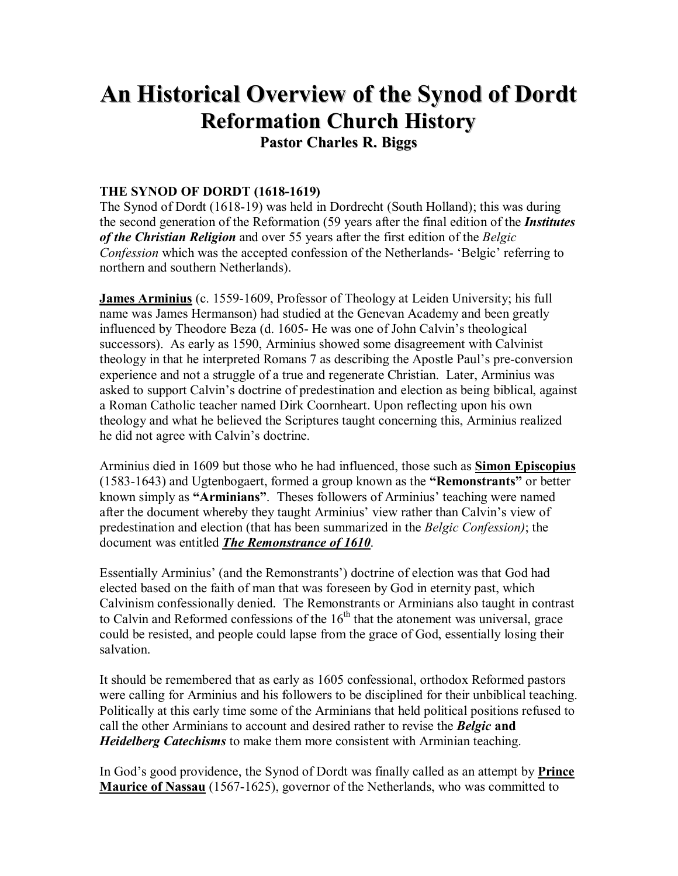## **An Historical Overview of the Synod of Dordt Reformation Church History**

**Pastor Charles R. Biggs**

## **THE SYNOD OF DORDT (1618-1619)**

The Synod of Dordt (1618-19) was held in Dordrecht (South Holland); this was during the second generation of the Reformation (59 years after the final edition of the *Institutes of the Christian Religion* and over 55 years after the first edition of the *Belgic Confession* which was the accepted confession of the Netherlands- 'Belgic' referring to northern and southern Netherlands).

**James Arminius** (c. 1559-1609, Professor of Theology at Leiden University; his full name was James Hermanson) had studied at the Genevan Academy and been greatly influenced by Theodore Beza (d. 1605- He was one of John Calvin's theological successors). As early as 1590, Arminius showed some disagreement with Calvinist theology in that he interpreted Romans 7 as describing the Apostle Paul's pre-conversion experience and not a struggle of a true and regenerate Christian. Later, Arminius was asked to support Calvin's doctrine of predestination and election as being biblical, against a Roman Catholic teacher named Dirk Coornheart. Upon reflecting upon his own theology and what he believed the Scriptures taught concerning this, Arminius realized he did not agree with Calvin's doctrine.

Arminius died in 1609 but those who he had influenced, those such as **Simon Episcopius** (1583-1643) and Ugtenbogaert, formed a group known as the **ìRemonstrantsî** or better known simply as "Arminians". Theses followers of Arminius' teaching were named after the document whereby they taught Arminius' view rather than Calvin's view of predestination and election (that has been summarized in the *Belgic Confession)*; the document was entitled *The Remonstrance of 1610*.

Essentially Arminius' (and the Remonstrants') doctrine of election was that God had elected based on the faith of man that was foreseen by God in eternity past, which Calvinism confessionally denied. The Remonstrants or Arminians also taught in contrast to Calvin and Reformed confessions of the  $16<sup>th</sup>$  that the atonement was universal, grace could be resisted, and people could lapse from the grace of God, essentially losing their salvation.

It should be remembered that as early as 1605 confessional, orthodox Reformed pastors were calling for Arminius and his followers to be disciplined for their unbiblical teaching. Politically at this early time some of the Arminians that held political positions refused to call the other Arminians to account and desired rather to revise the *Belgic* **and**  *Heidelberg Catechisms* to make them more consistent with Arminian teaching.

In God's good providence, the Synod of Dordt was finally called as an attempt by **Prince Maurice of Nassau** (1567-1625), governor of the Netherlands, who was committed to